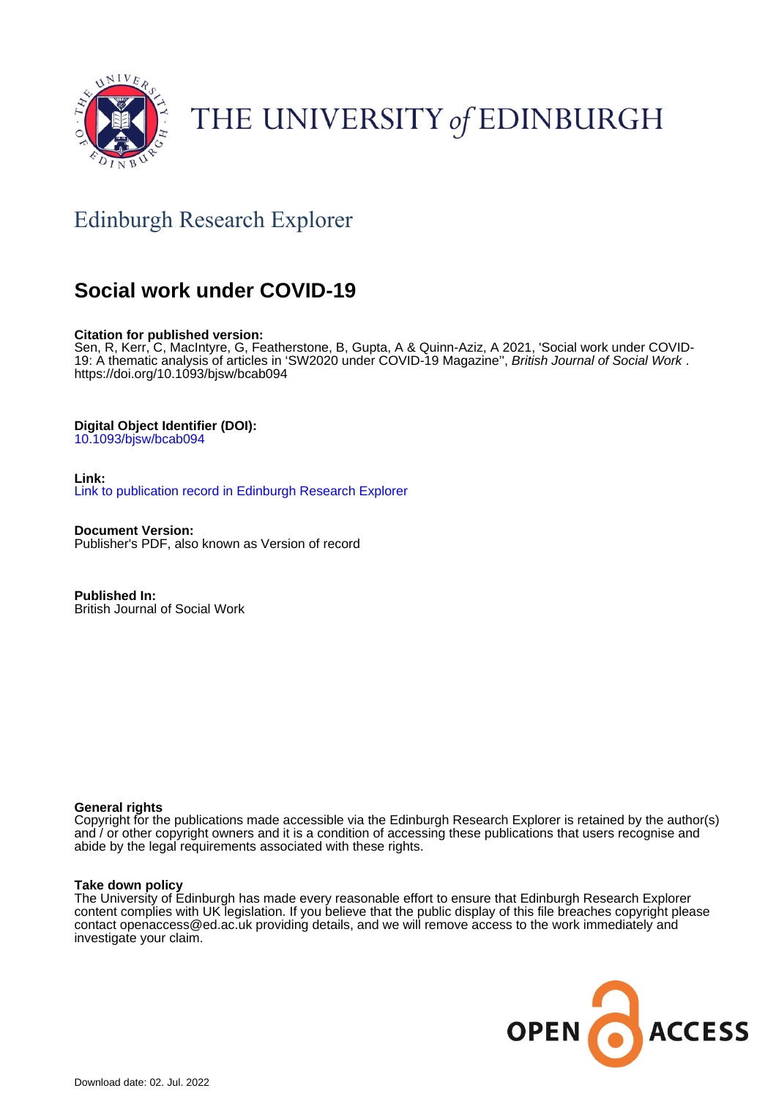

# THE UNIVERSITY of EDINBURGH

# Edinburgh Research Explorer

# **Social work under COVID-19**

#### **Citation for published version:**

Sen, R, Kerr, C, MacIntyre, G, Featherstone, B, Gupta, A & Quinn-Aziz, A 2021, 'Social work under COVID-19: A thematic analysis of articles in 'SW2020 under COVID-19 Magazine", British Journal of Social Work. <https://doi.org/10.1093/bjsw/bcab094>

#### **Digital Object Identifier (DOI):**

[10.1093/bjsw/bcab094](https://doi.org/10.1093/bjsw/bcab094)

**Link:** [Link to publication record in Edinburgh Research Explorer](https://www.research.ed.ac.uk/en/publications/2df0fe22-b7af-428c-9c32-5fd8283ef68c)

**Document Version:** Publisher's PDF, also known as Version of record

**Published In:** British Journal of Social Work

#### **General rights**

Copyright for the publications made accessible via the Edinburgh Research Explorer is retained by the author(s) and / or other copyright owners and it is a condition of accessing these publications that users recognise and abide by the legal requirements associated with these rights.

#### **Take down policy**

The University of Edinburgh has made every reasonable effort to ensure that Edinburgh Research Explorer content complies with UK legislation. If you believe that the public display of this file breaches copyright please contact openaccess@ed.ac.uk providing details, and we will remove access to the work immediately and investigate your claim.

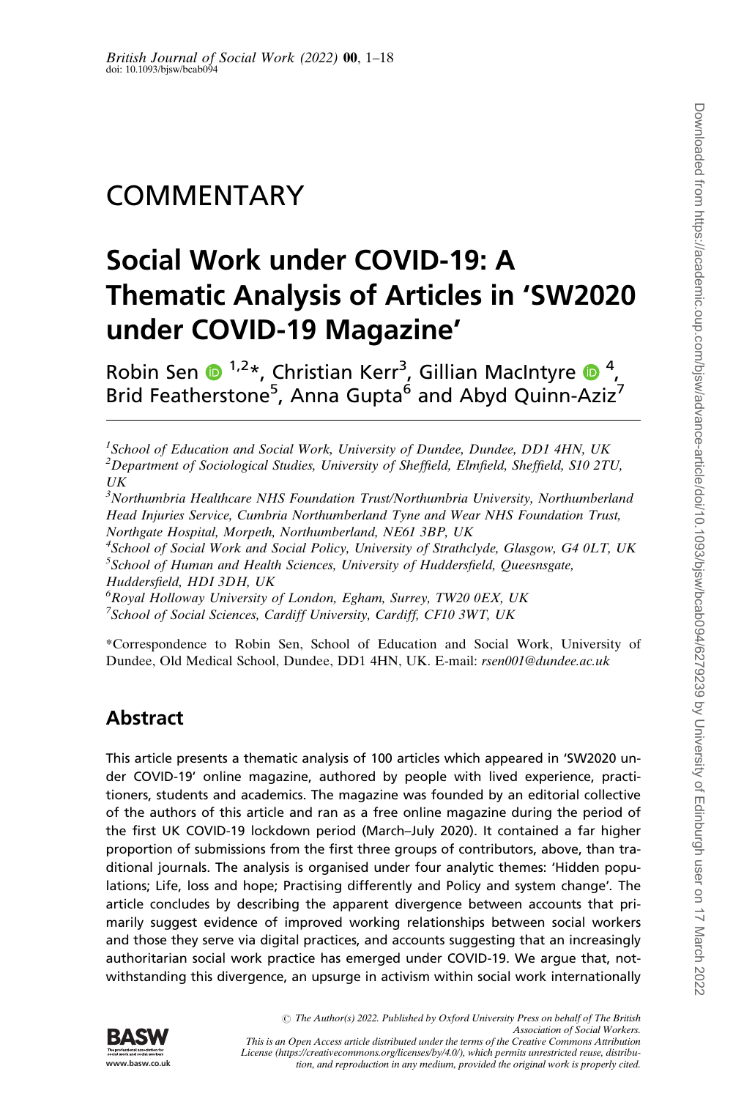# **COMMENTARY**

# Social Work under COVID-19: A Thematic Analysis of Articles in 'SW2020 under COVID-19 Magazine'

Robin Sen  $\bigcirc^{1,2*}$ , Christian Kerr<sup>3</sup>, Gillian MacIntyre  $\bigcirc^{4}$ , Brid Featherstone<sup>5</sup>, Anna Gupta<sup>6</sup> and Abyd Quinn-Aziz<sup>7</sup>

 $3$ Northumbria Healthcare NHS Foundation Trust/Northumbria University, Northumberland Head Injuries Service, Cumbria Northumberland Tyne and Wear NHS Foundation Trust, Northgate Hospital, Morpeth, Northumberland, NE61 3BP, UK

<sup>4</sup>School of Social Work and Social Policy, University of Strathclyde, Glasgow, G4 0LT, UK  $^5$ School of Human and Health Sciences, University of Huddersfield, Queesnsgate,

Huddersfield, HDI 3DH, UK

6 Royal Holloway University of London, Egham, Surrey, TW20 0EX, UK

<sup>7</sup>School of Social Sciences, Cardiff University, Cardiff, CF10 3WT, UK

\*Correspondence to Robin Sen, School of Education and Social Work, University of Dundee, Old Medical School, Dundee, DD1 4HN, UK. E-mail: rsen001@dundee.ac.uk

# Abstract

This article presents a thematic analysis of 100 articles which appeared in 'SW2020 under COVID-19' online magazine, authored by people with lived experience, practitioners, students and academics. The magazine was founded by an editorial collective of the authors of this article and ran as a free online magazine during the period of the first UK COVID-19 lockdown period (March–July 2020). It contained a far higher proportion of submissions from the first three groups of contributors, above, than traditional journals. The analysis is organised under four analytic themes: 'Hidden populations; Life, loss and hope; Practising differently and Policy and system change'. The article concludes by describing the apparent divergence between accounts that primarily suggest evidence of improved working relationships between social workers and those they serve via digital practices, and accounts suggesting that an increasingly authoritarian social work practice has emerged under COVID-19. We argue that, notwithstanding this divergence, an upsurge in activism within social work internationally



<sup>&</sup>lt;sup>1</sup>School of Education and Social Work, University of Dundee, Dundee, DD1 4HN, UK  $^2$ Department of Sociological Studies, University of Sheffield, Elmfield, Sheffield, S10 2TU,  $U\overline{K}$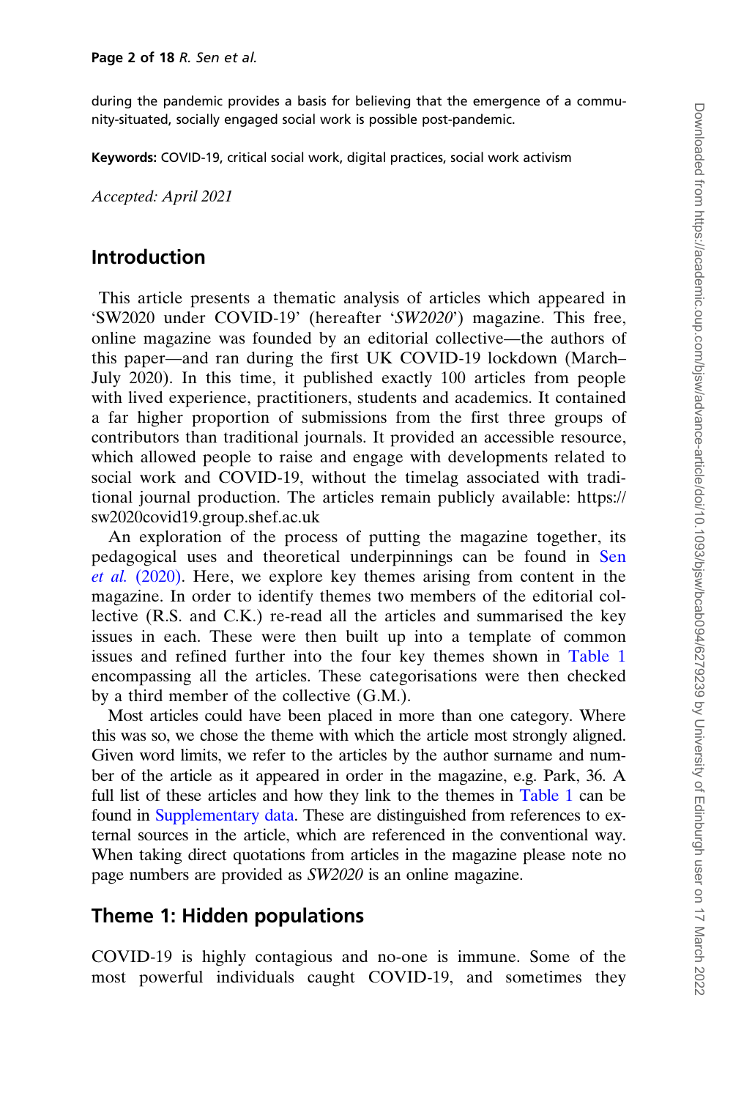during the pandemic provides a basis for believing that the emergence of a community-situated, socially engaged social work is possible post-pandemic.

Keywords: COVID-19, critical social work, digital practices, social work activism

Accepted: April 2021

#### Introduction

This article presents a thematic analysis of articles which appeared in 'SW2020 under COVID-19' (hereafter 'SW2020') magazine. This free, online magazine was founded by an editorial collective—the authors of this paper—and ran during the first UK COVID-19 lockdown (March– July 2020). In this time, it published exactly 100 articles from people with lived experience, practitioners, students and academics. It contained a far higher proportion of submissions from the first three groups of contributors than traditional journals. It provided an accessible resource, which allowed people to raise and engage with developments related to social work and COVID-19, without the timelag associated with traditional journal production. The articles remain publicly available: [https://](https://sw2020covid19.group.shef.ac.uk) [sw2020covid19.group.shef.ac.uk](https://sw2020covid19.group.shef.ac.uk)

An exploration of the process of putting the magazine together, its pedagogical uses and theoretical underpinnings can be found in [Sen](#page-18-0) et al. [\(2020\).](#page-18-0) Here, we explore key themes arising from content in the magazine. In order to identify themes two members of the editorial collective (R.S. and C.K.) re-read all the articles and summarised the key issues in each. These were then built up into a template of common issues and refined further into the four key themes shown in [Table 1](#page-3-0) encompassing all the articles. These categorisations were then checked by a third member of the collective (G.M.).

Most articles could have been placed in more than one category. Where this was so, we chose the theme with which the article most strongly aligned. Given word limits, we refer to the articles by the author surname and number of the article as it appeared in order in the magazine, e.g. Park, 36. A full list of these articles and how they link to the themes in [Table 1](#page-3-0) can be found in [Supplementary data.](https://academic.oup.com/bjsw/article-lookup/doi/10.1093/bjsw/bcab094#supplementary-data) These are distinguished from references to external sources in the article, which are referenced in the conventional way. When taking direct quotations from articles in the magazine please note no page numbers are provided as SW2020 is an online magazine.

### Theme 1: Hidden populations

COVID-19 is highly contagious and no-one is immune. Some of the most powerful individuals caught COVID-19, and sometimes they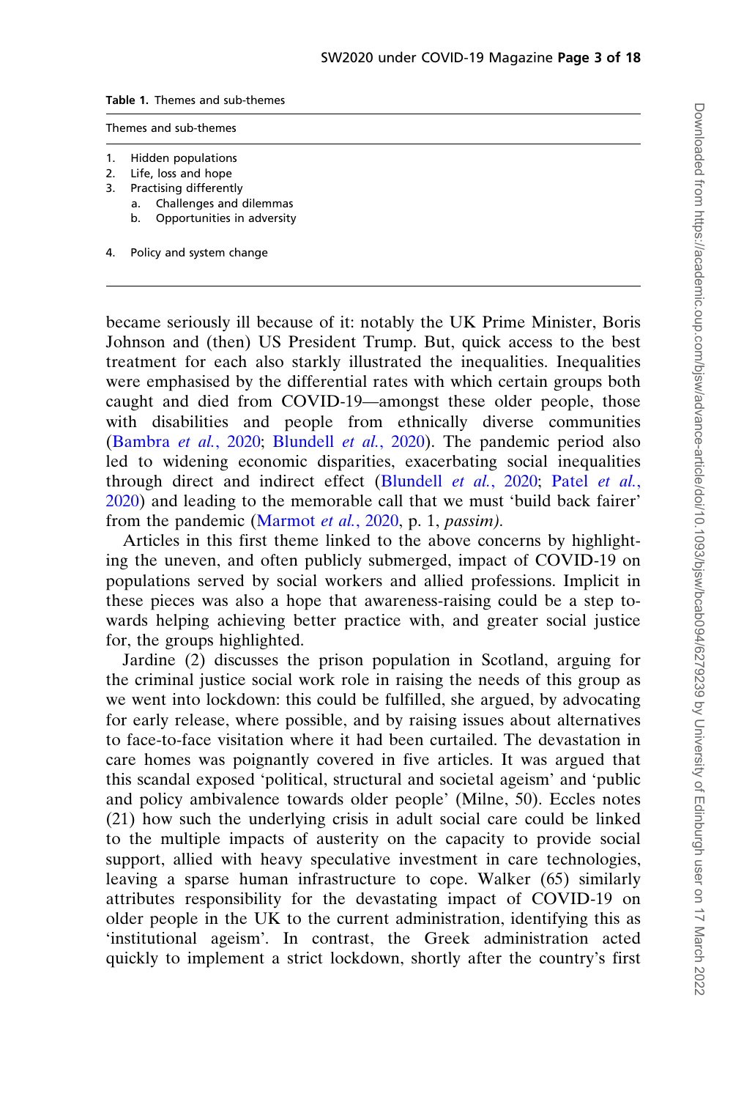<span id="page-3-0"></span>Table 1. Themes and sub-themes

| Themes and sub-themes |  |
|-----------------------|--|
|-----------------------|--|

- 1. Hidden populations
- 2. Life, loss and hope
- 3. Practising differently
	- a. Challenges and dilemmas
	- b. Opportunities in adversity
- 4. Policy and system change

became seriously ill because of it: notably the UK Prime Minister, Boris Johnson and (then) US President Trump. But, quick access to the best treatment for each also starkly illustrated the inequalities. Inequalities were emphasised by the differential rates with which certain groups both caught and died from COVID-19—amongst these older people, those with disabilities and people from ethnically diverse communities ([Bambra](#page-17-0) et al., 2020; [Blundell](#page-17-0) et al., 2020). The pandemic period also led to widening economic disparities, exacerbating social inequalities through direct and indirect effect [\(Blundell](#page-17-0) et al., 2020; Patel [et al.](#page-18-0), [2020](#page-18-0)) and leading to the memorable call that we must 'build back fairer' from the pandemic ([Marmot](#page-18-0) et al., 2020, p. 1, passim).

Articles in this first theme linked to the above concerns by highlighting the uneven, and often publicly submerged, impact of COVID-19 on populations served by social workers and allied professions. Implicit in these pieces was also a hope that awareness-raising could be a step towards helping achieving better practice with, and greater social justice for, the groups highlighted.

Jardine (2) discusses the prison population in Scotland, arguing for the criminal justice social work role in raising the needs of this group as we went into lockdown: this could be fulfilled, she argued, by advocating for early release, where possible, and by raising issues about alternatives to face-to-face visitation where it had been curtailed. The devastation in care homes was poignantly covered in five articles. It was argued that this scandal exposed 'political, structural and societal ageism' and 'public and policy ambivalence towards older people' (Milne, 50). Eccles notes (21) how such the underlying crisis in adult social care could be linked to the multiple impacts of austerity on the capacity to provide social support, allied with heavy speculative investment in care technologies, leaving a sparse human infrastructure to cope. Walker (65) similarly attributes responsibility for the devastating impact of COVID-19 on older people in the UK to the current administration, identifying this as 'institutional ageism'. In contrast, the Greek administration acted quickly to implement a strict lockdown, shortly after the country's first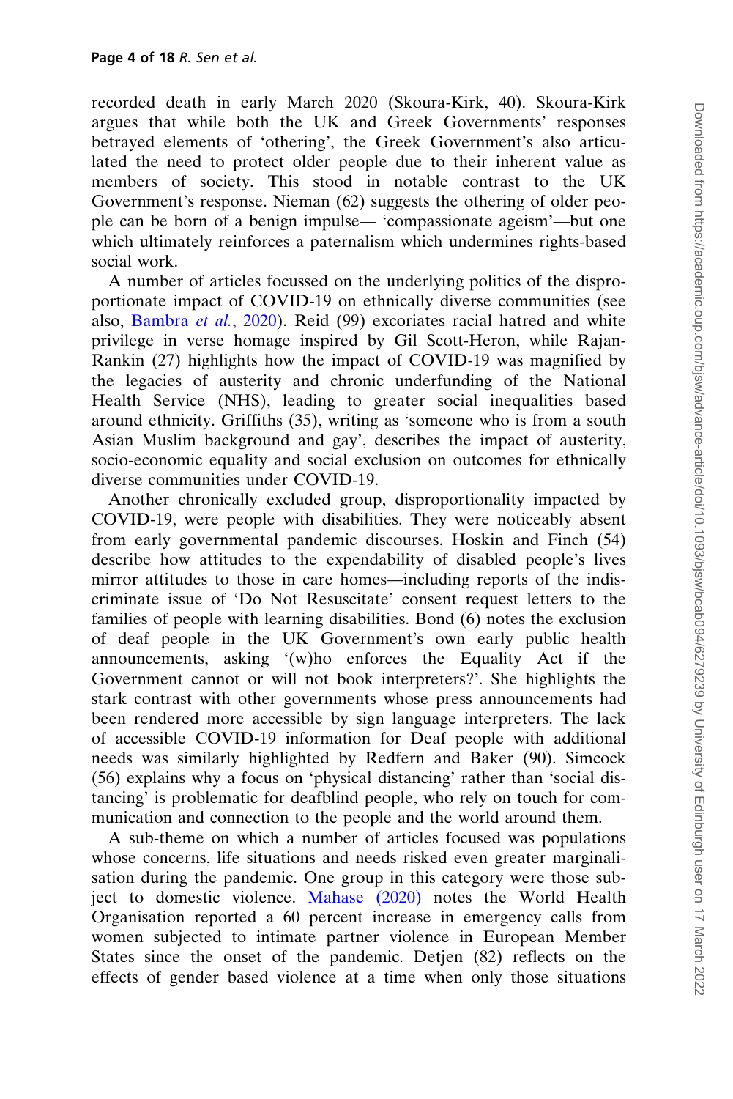recorded death in early March 2020 (Skoura-Kirk, 40). Skoura-Kirk argues that while both the UK and Greek Governments' responses betrayed elements of 'othering', the Greek Government's also articulated the need to protect older people due to their inherent value as members of society. This stood in notable contrast to the UK Government's response. Nieman (62) suggests the othering of older people can be born of a benign impulse— 'compassionate ageism'—but one which ultimately reinforces a paternalism which undermines rights-based social work.

A number of articles focussed on the underlying politics of the disproportionate impact of COVID-19 on ethnically diverse communities (see also, [Bambra](#page-17-0) et al., 2020). Reid (99) excoriates racial hatred and white privilege in verse homage inspired by Gil Scott-Heron, while Rajan-Rankin (27) highlights how the impact of COVID-19 was magnified by the legacies of austerity and chronic underfunding of the National Health Service (NHS), leading to greater social inequalities based around ethnicity. Griffiths (35), writing as 'someone who is from a south Asian Muslim background and gay', describes the impact of austerity, socio-economic equality and social exclusion on outcomes for ethnically diverse communities under COVID-19.

Another chronically excluded group, disproportionality impacted by COVID-19, were people with disabilities. They were noticeably absent from early governmental pandemic discourses. Hoskin and Finch (54) describe how attitudes to the expendability of disabled people's lives mirror attitudes to those in care homes—including reports of the indiscriminate issue of 'Do Not Resuscitate' consent request letters to the families of people with learning disabilities. Bond (6) notes the exclusion of deaf people in the UK Government's own early public health announcements, asking '(w)ho enforces the Equality Act if the Government cannot or will not book interpreters?'. She highlights the stark contrast with other governments whose press announcements had been rendered more accessible by sign language interpreters. The lack of accessible COVID-19 information for Deaf people with additional needs was similarly highlighted by Redfern and Baker (90). Simcock (56) explains why a focus on 'physical distancing' rather than 'social distancing' is problematic for deafblind people, who rely on touch for communication and connection to the people and the world around them.

A sub-theme on which a number of articles focused was populations whose concerns, life situations and needs risked even greater marginalisation during the pandemic. One group in this category were those subject to domestic violence. [Mahase \(2020\)](#page-18-0) notes the World Health Organisation reported a 60 percent increase in emergency calls from women subjected to intimate partner violence in European Member States since the onset of the pandemic. Detjen (82) reflects on the effects of gender based violence at a time when only those situations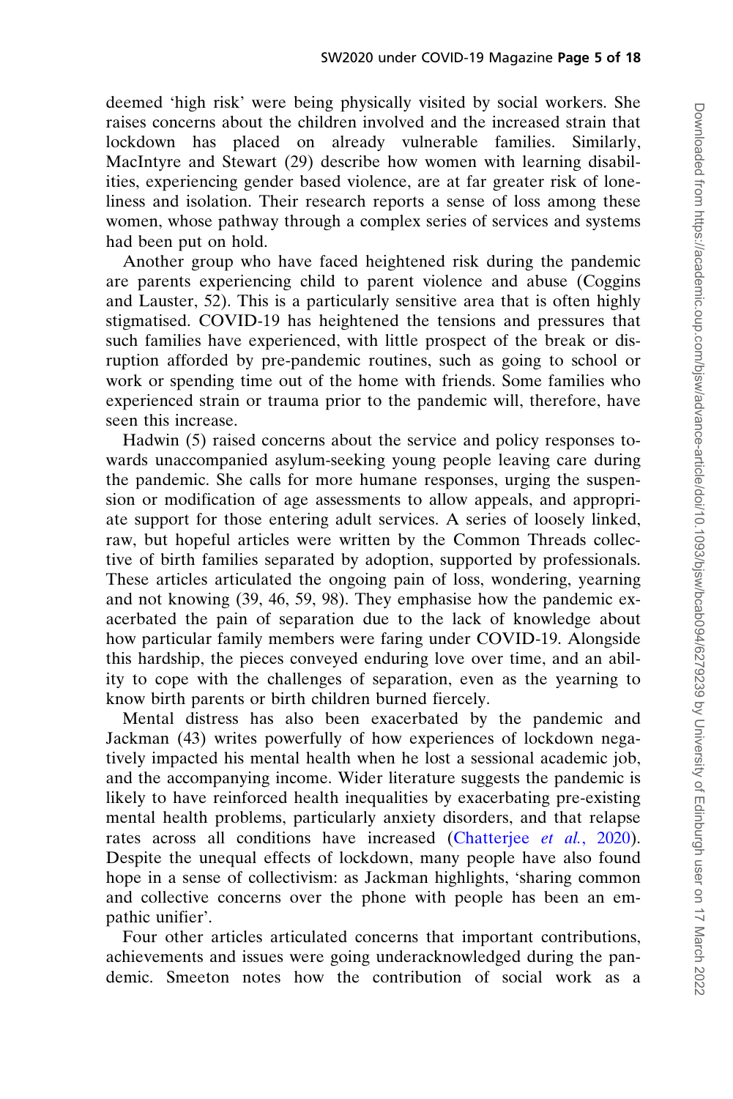deemed 'high risk' were being physically visited by social workers. She raises concerns about the children involved and the increased strain that lockdown has placed on already vulnerable families. Similarly, MacIntyre and Stewart (29) describe how women with learning disabilities, experiencing gender based violence, are at far greater risk of loneliness and isolation. Their research reports a sense of loss among these women, whose pathway through a complex series of services and systems had been put on hold.

Another group who have faced heightened risk during the pandemic are parents experiencing child to parent violence and abuse (Coggins and Lauster, 52). This is a particularly sensitive area that is often highly stigmatised. COVID-19 has heightened the tensions and pressures that such families have experienced, with little prospect of the break or disruption afforded by pre-pandemic routines, such as going to school or work or spending time out of the home with friends. Some families who experienced strain or trauma prior to the pandemic will, therefore, have seen this increase.

Hadwin (5) raised concerns about the service and policy responses towards unaccompanied asylum-seeking young people leaving care during the pandemic. She calls for more humane responses, urging the suspension or modification of age assessments to allow appeals, and appropriate support for those entering adult services. A series of loosely linked, raw, but hopeful articles were written by the Common Threads collective of birth families separated by adoption, supported by professionals. These articles articulated the ongoing pain of loss, wondering, yearning and not knowing (39, 46, 59, 98). They emphasise how the pandemic exacerbated the pain of separation due to the lack of knowledge about how particular family members were faring under COVID-19. Alongside this hardship, the pieces conveyed enduring love over time, and an ability to cope with the challenges of separation, even as the yearning to know birth parents or birth children burned fiercely.

Mental distress has also been exacerbated by the pandemic and Jackman (43) writes powerfully of how experiences of lockdown negatively impacted his mental health when he lost a sessional academic job, and the accompanying income. Wider literature suggests the pandemic is likely to have reinforced health inequalities by exacerbating pre-existing mental health problems, particularly anxiety disorders, and that relapse rates across all conditions have increased ([Chatterjee](#page-17-0) et al., 2020). Despite the unequal effects of lockdown, many people have also found hope in a sense of collectivism: as Jackman highlights, 'sharing common and collective concerns over the phone with people has been an empathic unifier'.

Four other articles articulated concerns that important contributions, achievements and issues were going underacknowledged during the pandemic. Smeeton notes how the contribution of social work as a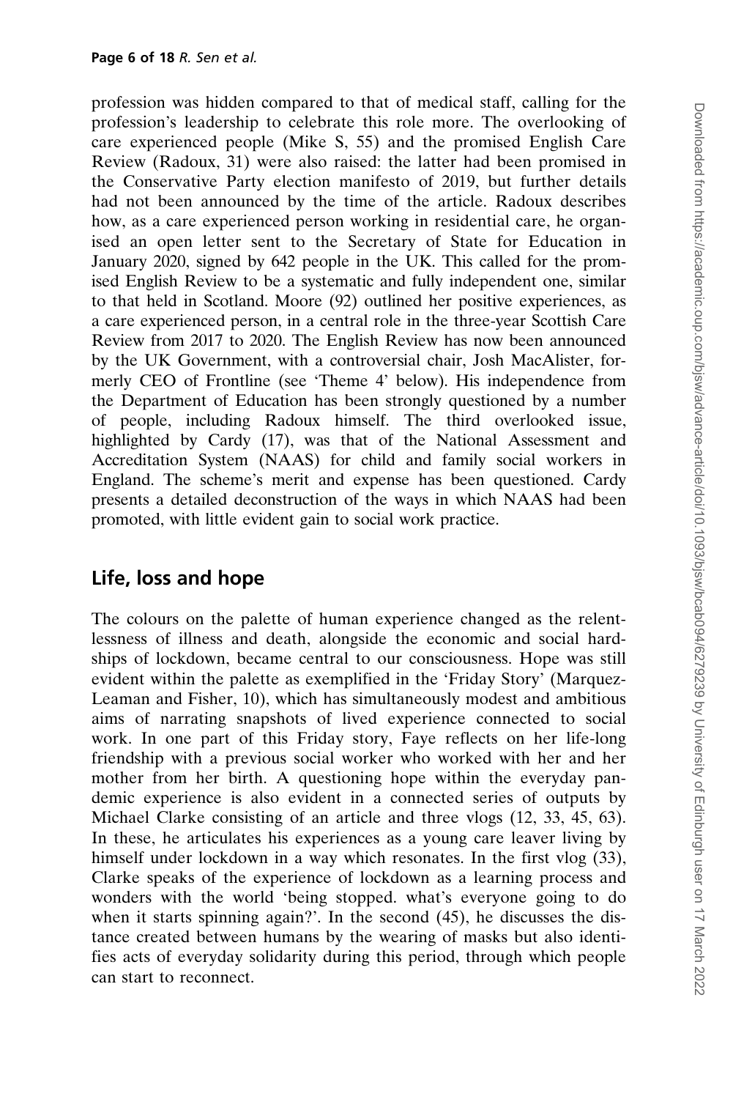profession was hidden compared to that of medical staff, calling for the profession's leadership to celebrate this role more. The overlooking of care experienced people (Mike S, 55) and the promised English Care Review (Radoux, 31) were also raised: the latter had been promised in the Conservative Party election manifesto of 2019, but further details had not been announced by the time of the article. Radoux describes how, as a care experienced person working in residential care, he organised an open letter sent to the Secretary of State for Education in January 2020, signed by 642 people in the UK. This called for the promised English Review to be a systematic and fully independent one, similar to that held in Scotland. Moore (92) outlined her positive experiences, as a care experienced person, in a central role in the three-year Scottish Care Review from 2017 to 2020. The English Review has now been announced by the UK Government, with a controversial chair, Josh MacAlister, formerly CEO of Frontline (see 'Theme 4' below). His independence from the Department of Education has been strongly questioned by a number of people, including Radoux himself. The third overlooked issue, highlighted by Cardy (17), was that of the National Assessment and Accreditation System (NAAS) for child and family social workers in England. The scheme's merit and expense has been questioned. Cardy presents a detailed deconstruction of the ways in which NAAS had been promoted, with little evident gain to social work practice.

### Life, loss and hope

The colours on the palette of human experience changed as the relentlessness of illness and death, alongside the economic and social hardships of lockdown, became central to our consciousness. Hope was still evident within the palette as exemplified in the 'Friday Story' (Marquez-Leaman and Fisher, 10), which has simultaneously modest and ambitious aims of narrating snapshots of lived experience connected to social work. In one part of this Friday story, Faye reflects on her life-long friendship with a previous social worker who worked with her and her mother from her birth. A questioning hope within the everyday pandemic experience is also evident in a connected series of outputs by Michael Clarke consisting of an article and three vlogs (12, 33, 45, 63). In these, he articulates his experiences as a young care leaver living by himself under lockdown in a way which resonates. In the first vlog (33), Clarke speaks of the experience of lockdown as a learning process and wonders with the world 'being stopped. what's everyone going to do when it starts spinning again?'. In the second (45), he discusses the distance created between humans by the wearing of masks but also identifies acts of everyday solidarity during this period, through which people can start to reconnect.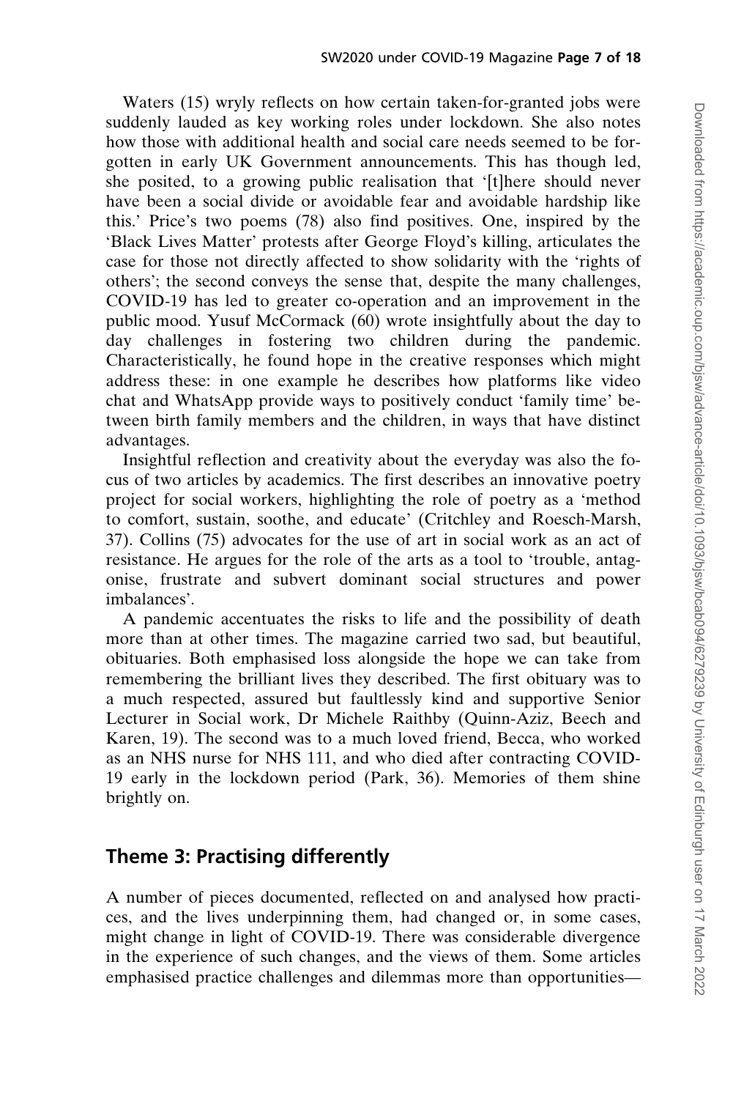Waters (15) wryly reflects on how certain taken-for-granted jobs were suddenly lauded as key working roles under lockdown. She also notes how those with additional health and social care needs seemed to be forgotten in early UK Government announcements. This has though led, she posited, to a growing public realisation that '[t]here should never have been a social divide or avoidable fear and avoidable hardship like this.' Price's two poems (78) also find positives. One, inspired by the 'Black Lives Matter' protests after George Floyd's killing, articulates the case for those not directly affected to show solidarity with the 'rights of others'; the second conveys the sense that, despite the many challenges, COVID-19 has led to greater co-operation and an improvement in the public mood. Yusuf McCormack (60) wrote insightfully about the day to day challenges in fostering two children during the pandemic. Characteristically, he found hope in the creative responses which might address these: in one example he describes how platforms like video chat and WhatsApp provide ways to positively conduct 'family time' between birth family members and the children, in ways that have distinct advantages.

Insightful reflection and creativity about the everyday was also the focus of two articles by academics. The first describes an innovative poetry project for social workers, highlighting the role of poetry as a 'method to comfort, sustain, soothe, and educate' (Critchley and Roesch-Marsh, 37). Collins (75) advocates for the use of art in social work as an act of resistance. He argues for the role of the arts as a tool to 'trouble, antagonise, frustrate and subvert dominant social structures and power imbalances'.

A pandemic accentuates the risks to life and the possibility of death more than at other times. The magazine carried two sad, but beautiful, obituaries. Both emphasised loss alongside the hope we can take from remembering the brilliant lives they described. The first obituary was to a much respected, assured but faultlessly kind and supportive Senior Lecturer in Social work, Dr Michele Raithby (Quinn-Aziz, Beech and Karen, 19). The second was to a much loved friend, Becca, who worked as an NHS nurse for NHS 111, and who died after contracting COVID-19 early in the lockdown period (Park, 36). Memories of them shine brightly on.

### Theme 3: Practising differently

A number of pieces documented, reflected on and analysed how practices, and the lives underpinning them, had changed or, in some cases, might change in light of COVID-19. There was considerable divergence in the experience of such changes, and the views of them. Some articles emphasised practice challenges and dilemmas more than opportunities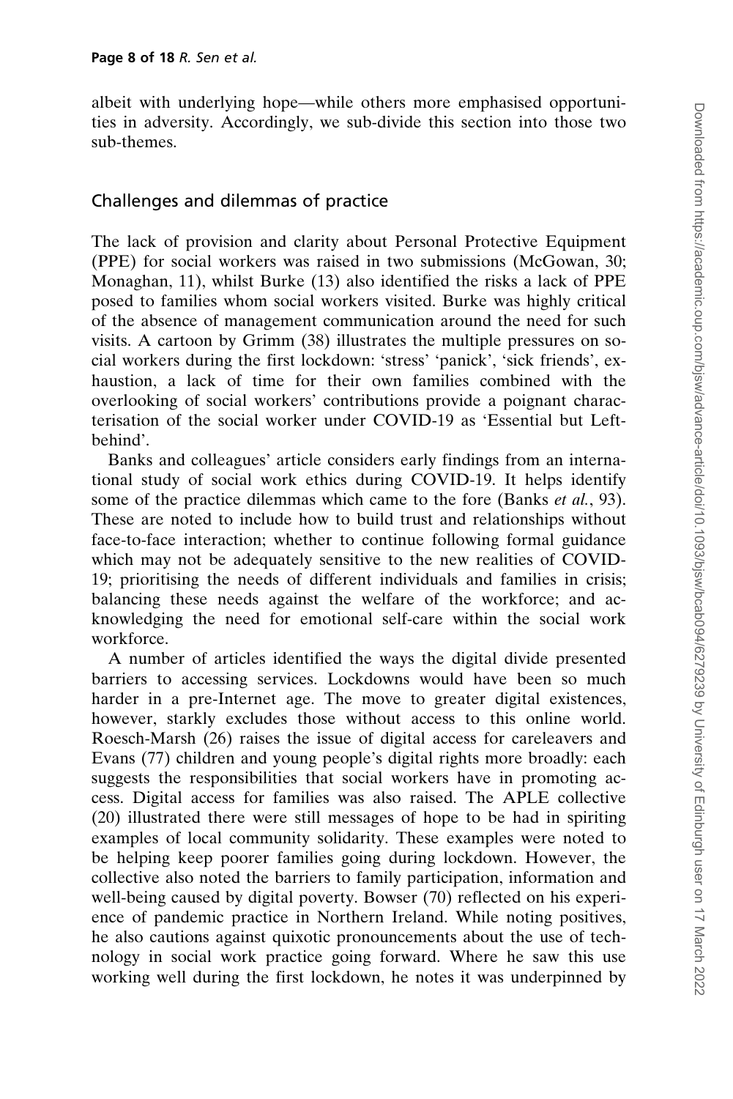albeit with underlying hope—while others more emphasised opportunities in adversity. Accordingly, we sub-divide this section into those two sub-themes.

#### Challenges and dilemmas of practice

The lack of provision and clarity about Personal Protective Equipment (PPE) for social workers was raised in two submissions (McGowan, 30; Monaghan, 11), whilst Burke (13) also identified the risks a lack of PPE posed to families whom social workers visited. Burke was highly critical of the absence of management communication around the need for such visits. A cartoon by Grimm (38) illustrates the multiple pressures on social workers during the first lockdown: 'stress' 'panick', 'sick friends', exhaustion, a lack of time for their own families combined with the overlooking of social workers' contributions provide a poignant characterisation of the social worker under COVID-19 as 'Essential but Leftbehind'.

Banks and colleagues' article considers early findings from an international study of social work ethics during COVID-19. It helps identify some of the practice dilemmas which came to the fore (Banks *et al.*, 93). These are noted to include how to build trust and relationships without face-to-face interaction; whether to continue following formal guidance which may not be adequately sensitive to the new realities of COVID-19; prioritising the needs of different individuals and families in crisis; balancing these needs against the welfare of the workforce; and acknowledging the need for emotional self-care within the social work workforce.

A number of articles identified the ways the digital divide presented barriers to accessing services. Lockdowns would have been so much harder in a pre-Internet age. The move to greater digital existences, however, starkly excludes those without access to this online world. Roesch-Marsh (26) raises the issue of digital access for careleavers and Evans (77) children and young people's digital rights more broadly: each suggests the responsibilities that social workers have in promoting access. Digital access for families was also raised. The APLE collective (20) illustrated there were still messages of hope to be had in spiriting examples of local community solidarity. These examples were noted to be helping keep poorer families going during lockdown. However, the collective also noted the barriers to family participation, information and well-being caused by digital poverty. Bowser (70) reflected on his experience of pandemic practice in Northern Ireland. While noting positives, he also cautions against quixotic pronouncements about the use of technology in social work practice going forward. Where he saw this use working well during the first lockdown, he notes it was underpinned by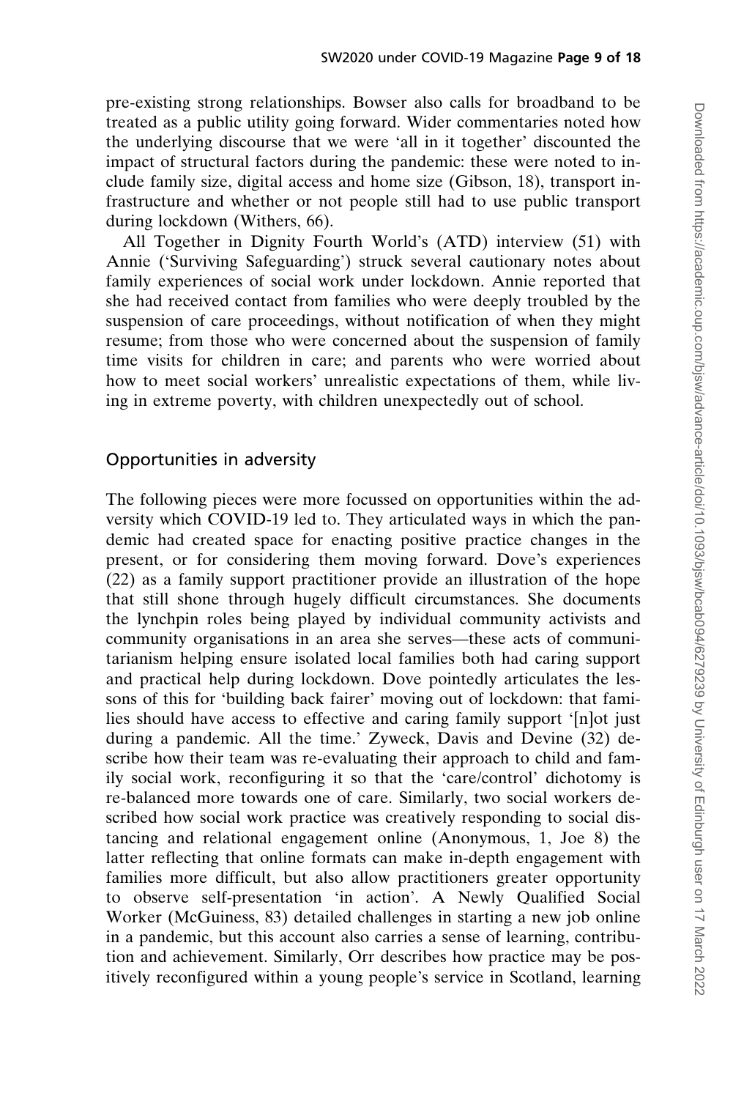pre-existing strong relationships. Bowser also calls for broadband to be treated as a public utility going forward. Wider commentaries noted how the underlying discourse that we were 'all in it together' discounted the impact of structural factors during the pandemic: these were noted to include family size, digital access and home size (Gibson, 18), transport infrastructure and whether or not people still had to use public transport during lockdown (Withers, 66).

All Together in Dignity Fourth World's (ATD) interview (51) with Annie ('Surviving Safeguarding') struck several cautionary notes about family experiences of social work under lockdown. Annie reported that she had received contact from families who were deeply troubled by the suspension of care proceedings, without notification of when they might resume; from those who were concerned about the suspension of family time visits for children in care; and parents who were worried about how to meet social workers' unrealistic expectations of them, while living in extreme poverty, with children unexpectedly out of school.

#### Opportunities in adversity

The following pieces were more focussed on opportunities within the adversity which COVID-19 led to. They articulated ways in which the pandemic had created space for enacting positive practice changes in the present, or for considering them moving forward. Dove's experiences (22) as a family support practitioner provide an illustration of the hope that still shone through hugely difficult circumstances. She documents the lynchpin roles being played by individual community activists and community organisations in an area she serves—these acts of communitarianism helping ensure isolated local families both had caring support and practical help during lockdown. Dove pointedly articulates the lessons of this for 'building back fairer' moving out of lockdown: that families should have access to effective and caring family support '[n]ot just during a pandemic. All the time.' Zyweck, Davis and Devine (32) describe how their team was re-evaluating their approach to child and family social work, reconfiguring it so that the 'care/control' dichotomy is re-balanced more towards one of care. Similarly, two social workers described how social work practice was creatively responding to social distancing and relational engagement online (Anonymous, 1, Joe 8) the latter reflecting that online formats can make in-depth engagement with families more difficult, but also allow practitioners greater opportunity to observe self-presentation 'in action'. A Newly Qualified Social Worker (McGuiness, 83) detailed challenges in starting a new job online in a pandemic, but this account also carries a sense of learning, contribution and achievement. Similarly, Orr describes how practice may be positively reconfigured within a young people's service in Scotland, learning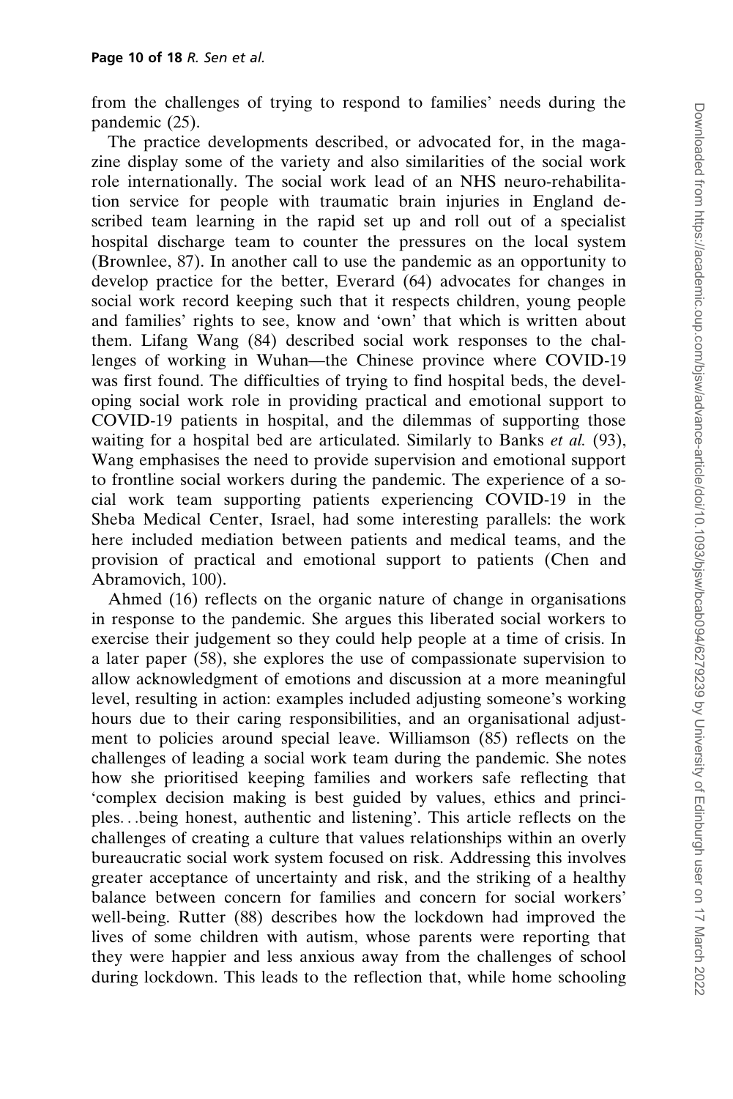from the challenges of trying to respond to families' needs during the pandemic (25).

The practice developments described, or advocated for, in the magazine display some of the variety and also similarities of the social work role internationally. The social work lead of an NHS neuro-rehabilitation service for people with traumatic brain injuries in England described team learning in the rapid set up and roll out of a specialist hospital discharge team to counter the pressures on the local system (Brownlee, 87). In another call to use the pandemic as an opportunity to develop practice for the better, Everard (64) advocates for changes in social work record keeping such that it respects children, young people and families' rights to see, know and 'own' that which is written about them. Lifang Wang (84) described social work responses to the challenges of working in Wuhan—the Chinese province where COVID-19 was first found. The difficulties of trying to find hospital beds, the developing social work role in providing practical and emotional support to COVID-19 patients in hospital, and the dilemmas of supporting those waiting for a hospital bed are articulated. Similarly to Banks et al. (93), Wang emphasises the need to provide supervision and emotional support to frontline social workers during the pandemic. The experience of a social work team supporting patients experiencing COVID-19 in the Sheba Medical Center, Israel, had some interesting parallels: the work here included mediation between patients and medical teams, and the provision of practical and emotional support to patients (Chen and Abramovich, 100).

Ahmed (16) reflects on the organic nature of change in organisations in response to the pandemic. She argues this liberated social workers to exercise their judgement so they could help people at a time of crisis. In a later paper (58), she explores the use of compassionate supervision to allow acknowledgment of emotions and discussion at a more meaningful level, resulting in action: examples included adjusting someone's working hours due to their caring responsibilities, and an organisational adjustment to policies around special leave. Williamson (85) reflects on the challenges of leading a social work team during the pandemic. She notes how she prioritised keeping families and workers safe reflecting that 'complex decision making is best guided by values, ethics and principles...being honest, authentic and listening'. This article reflects on the challenges of creating a culture that values relationships within an overly bureaucratic social work system focused on risk. Addressing this involves greater acceptance of uncertainty and risk, and the striking of a healthy balance between concern for families and concern for social workers' well-being. Rutter (88) describes how the lockdown had improved the lives of some children with autism, whose parents were reporting that they were happier and less anxious away from the challenges of school during lockdown. This leads to the reflection that, while home schooling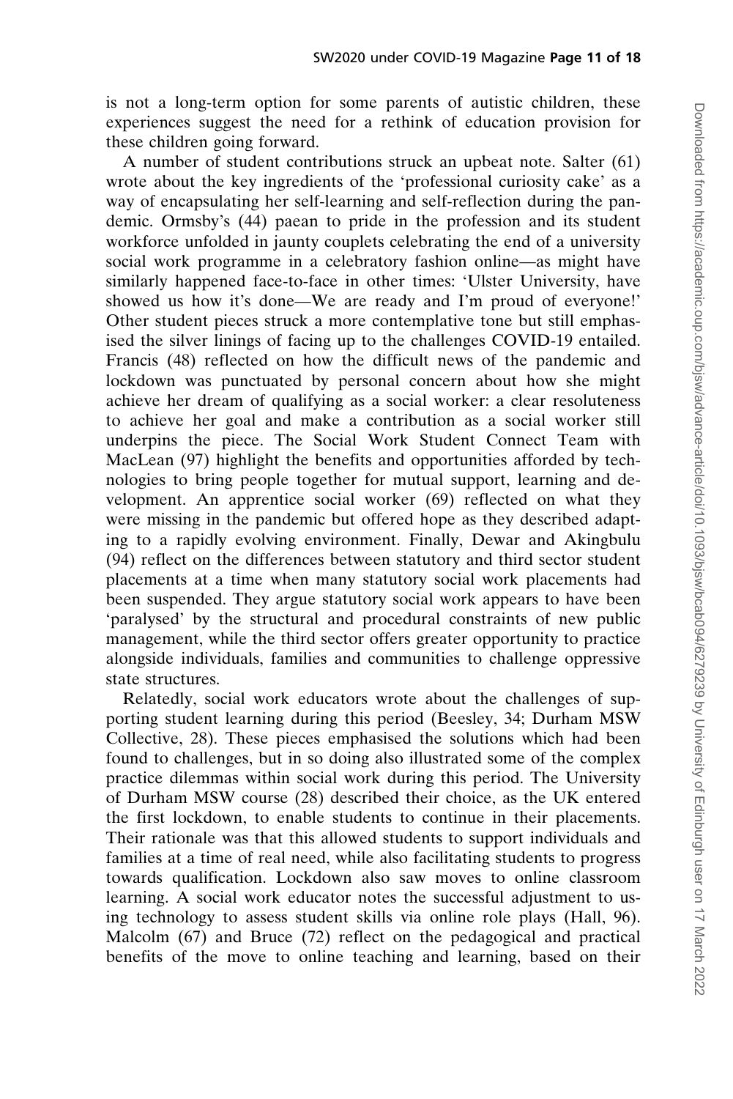is not a long-term option for some parents of autistic children, these experiences suggest the need for a rethink of education provision for these children going forward.

A number of student contributions struck an upbeat note. Salter (61) wrote about the key ingredients of the 'professional curiosity cake' as a way of encapsulating her self-learning and self-reflection during the pandemic. Ormsby's (44) paean to pride in the profession and its student workforce unfolded in jaunty couplets celebrating the end of a university social work programme in a celebratory fashion online—as might have similarly happened face-to-face in other times: 'Ulster University, have showed us how it's done—We are ready and I'm proud of everyone!' Other student pieces struck a more contemplative tone but still emphasised the silver linings of facing up to the challenges COVID-19 entailed. Francis (48) reflected on how the difficult news of the pandemic and lockdown was punctuated by personal concern about how she might achieve her dream of qualifying as a social worker: a clear resoluteness to achieve her goal and make a contribution as a social worker still underpins the piece. The Social Work Student Connect Team with MacLean (97) highlight the benefits and opportunities afforded by technologies to bring people together for mutual support, learning and development. An apprentice social worker (69) reflected on what they were missing in the pandemic but offered hope as they described adapting to a rapidly evolving environment. Finally, Dewar and Akingbulu (94) reflect on the differences between statutory and third sector student placements at a time when many statutory social work placements had been suspended. They argue statutory social work appears to have been 'paralysed' by the structural and procedural constraints of new public management, while the third sector offers greater opportunity to practice alongside individuals, families and communities to challenge oppressive state structures.

Relatedly, social work educators wrote about the challenges of supporting student learning during this period (Beesley, 34; Durham MSW Collective, 28). These pieces emphasised the solutions which had been found to challenges, but in so doing also illustrated some of the complex practice dilemmas within social work during this period. The University of Durham MSW course (28) described their choice, as the UK entered the first lockdown, to enable students to continue in their placements. Their rationale was that this allowed students to support individuals and families at a time of real need, while also facilitating students to progress towards qualification. Lockdown also saw moves to online classroom learning. A social work educator notes the successful adjustment to using technology to assess student skills via online role plays (Hall, 96). Malcolm (67) and Bruce (72) reflect on the pedagogical and practical benefits of the move to online teaching and learning, based on their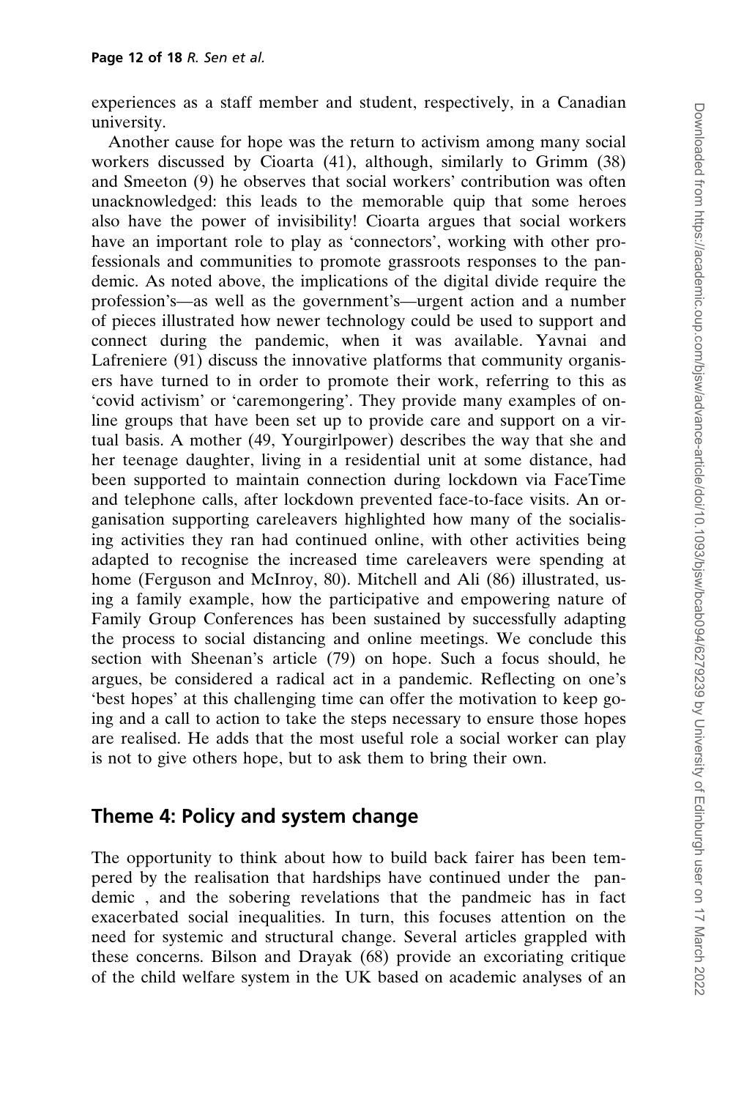experiences as a staff member and student, respectively, in a Canadian university.

Another cause for hope was the return to activism among many social workers discussed by Cioarta (41), although, similarly to Grimm (38) and Smeeton (9) he observes that social workers' contribution was often unacknowledged: this leads to the memorable quip that some heroes also have the power of invisibility! Cioarta argues that social workers have an important role to play as 'connectors', working with other professionals and communities to promote grassroots responses to the pandemic. As noted above, the implications of the digital divide require the profession's—as well as the government's—urgent action and a number of pieces illustrated how newer technology could be used to support and connect during the pandemic, when it was available. Yavnai and Lafreniere (91) discuss the innovative platforms that community organisers have turned to in order to promote their work, referring to this as 'covid activism' or 'caremongering'. They provide many examples of online groups that have been set up to provide care and support on a virtual basis. A mother (49, Yourgirlpower) describes the way that she and her teenage daughter, living in a residential unit at some distance, had been supported to maintain connection during lockdown via FaceTime and telephone calls, after lockdown prevented face-to-face visits. An organisation supporting careleavers highlighted how many of the socialising activities they ran had continued online, with other activities being adapted to recognise the increased time careleavers were spending at home (Ferguson and McInroy, 80). Mitchell and Ali (86) illustrated, using a family example, how the participative and empowering nature of Family Group Conferences has been sustained by successfully adapting the process to social distancing and online meetings. We conclude this section with Sheenan's article (79) on hope. Such a focus should, he argues, be considered a radical act in a pandemic. Reflecting on one's 'best hopes' at this challenging time can offer the motivation to keep going and a call to action to take the steps necessary to ensure those hopes are realised. He adds that the most useful role a social worker can play is not to give others hope, but to ask them to bring their own.

### Theme 4: Policy and system change

The opportunity to think about how to build back fairer has been tempered by the realisation that hardships have continued under the pandemic , and the sobering revelations that the pandmeic has in fact exacerbated social inequalities. In turn, this focuses attention on the need for systemic and structural change. Several articles grappled with these concerns. Bilson and Drayak (68) provide an excoriating critique of the child welfare system in the UK based on academic analyses of an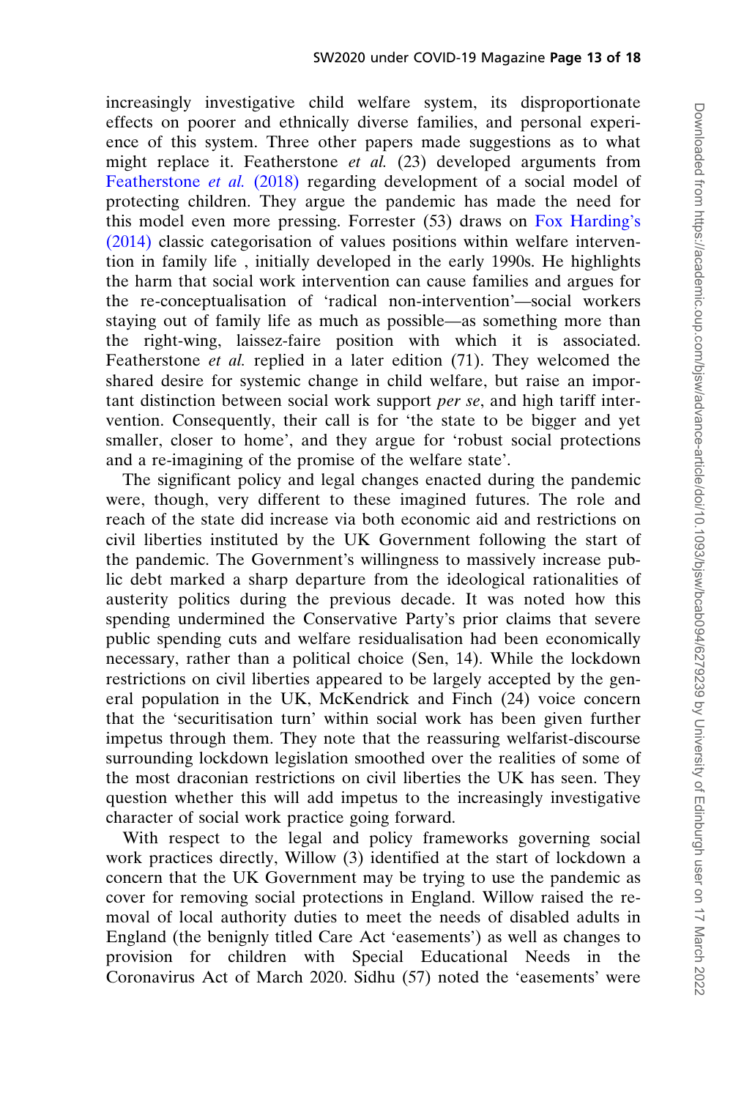increasingly investigative child welfare system, its disproportionate effects on poorer and ethnically diverse families, and personal experience of this system. Three other papers made suggestions as to what might replace it. Featherstone et al. (23) developed arguments from [Featherstone](#page-18-0) *et al.* (2018) regarding development of a social model of protecting children. They argue the pandemic has made the need for this model even more pressing. Forrester (53) draws on [Fox Harding's](#page-18-0) [\(2014\)](#page-18-0) classic categorisation of values positions within welfare intervention in family life , initially developed in the early 1990s. He highlights the harm that social work intervention can cause families and argues for the re-conceptualisation of 'radical non-intervention'—social workers staying out of family life as much as possible—as something more than the right-wing, laissez-faire position with which it is associated. Featherstone *et al.* replied in a later edition (71). They welcomed the shared desire for systemic change in child welfare, but raise an important distinction between social work support per se, and high tariff intervention. Consequently, their call is for 'the state to be bigger and yet smaller, closer to home', and they argue for 'robust social protections and a re-imagining of the promise of the welfare state'.

The significant policy and legal changes enacted during the pandemic were, though, very different to these imagined futures. The role and reach of the state did increase via both economic aid and restrictions on civil liberties instituted by the UK Government following the start of the pandemic. The Government's willingness to massively increase public debt marked a sharp departure from the ideological rationalities of austerity politics during the previous decade. It was noted how this spending undermined the Conservative Party's prior claims that severe public spending cuts and welfare residualisation had been economically necessary, rather than a political choice (Sen, 14). While the lockdown restrictions on civil liberties appeared to be largely accepted by the general population in the UK, McKendrick and Finch (24) voice concern that the 'securitisation turn' within social work has been given further impetus through them. They note that the reassuring welfarist-discourse surrounding lockdown legislation smoothed over the realities of some of the most draconian restrictions on civil liberties the UK has seen. They question whether this will add impetus to the increasingly investigative character of social work practice going forward.

With respect to the legal and policy frameworks governing social work practices directly, Willow (3) identified at the start of lockdown a concern that the UK Government may be trying to use the pandemic as cover for removing social protections in England. Willow raised the removal of local authority duties to meet the needs of disabled adults in England (the benignly titled Care Act 'easements') as well as changes to provision for children with Special Educational Needs in the Coronavirus Act of March 2020. Sidhu (57) noted the 'easements' were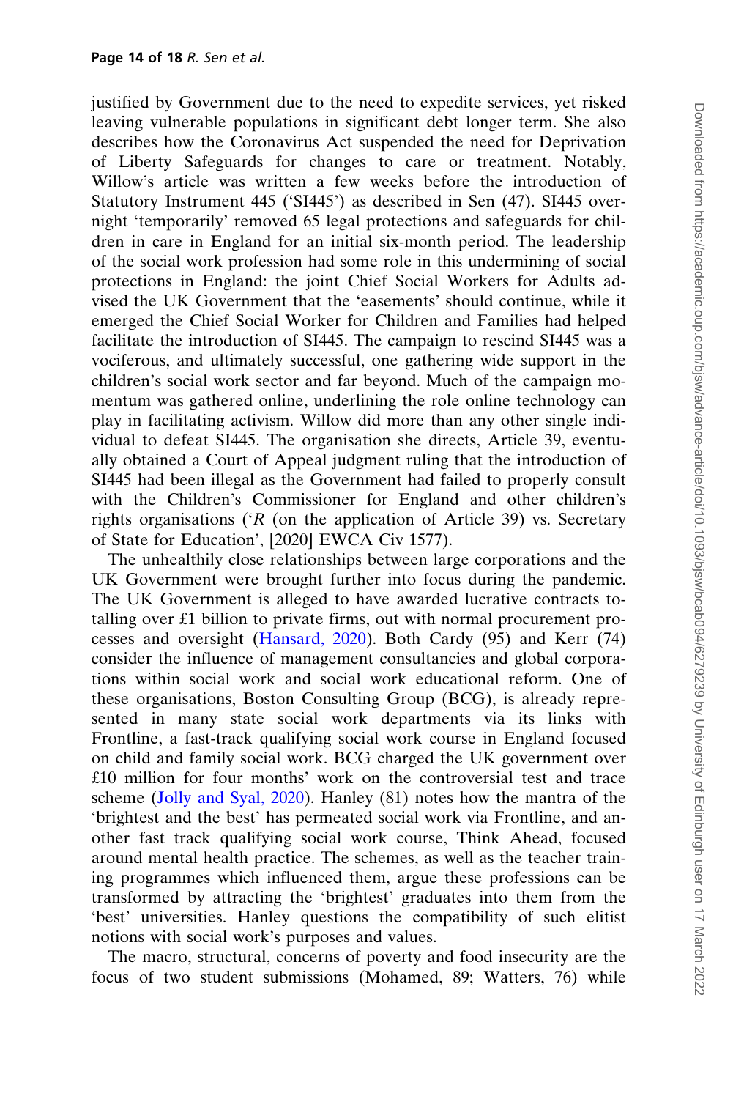justified by Government due to the need to expedite services, yet risked leaving vulnerable populations in significant debt longer term. She also describes how the Coronavirus Act suspended the need for Deprivation of Liberty Safeguards for changes to care or treatment. Notably, Willow's article was written a few weeks before the introduction of Statutory Instrument 445 ('SI445') as described in Sen (47). SI445 overnight 'temporarily' removed 65 legal protections and safeguards for children in care in England for an initial six-month period. The leadership of the social work profession had some role in this undermining of social protections in England: the joint Chief Social Workers for Adults advised the UK Government that the 'easements' should continue, while it emerged the Chief Social Worker for Children and Families had helped facilitate the introduction of SI445. The campaign to rescind SI445 was a vociferous, and ultimately successful, one gathering wide support in the children's social work sector and far beyond. Much of the campaign momentum was gathered online, underlining the role online technology can play in facilitating activism. Willow did more than any other single individual to defeat SI445. The organisation she directs, Article 39, eventually obtained a Court of Appeal judgment ruling that the introduction of SI445 had been illegal as the Government had failed to properly consult with the Children's Commissioner for England and other children's rights organisations ( $R$  (on the application of Article 39) vs. Secretary of State for Education', [2020] EWCA Civ 1577).

The unhealthily close relationships between large corporations and the UK Government were brought further into focus during the pandemic. The UK Government is alleged to have awarded lucrative contracts totalling over £1 billion to private firms, out with normal procurement processes and oversight [\(Hansard, 2020](#page-18-0)). Both Cardy (95) and Kerr (74) consider the influence of management consultancies and global corporations within social work and social work educational reform. One of these organisations, Boston Consulting Group (BCG), is already represented in many state social work departments via its links with Frontline, a fast-track qualifying social work course in England focused on child and family social work. BCG charged the UK government over £10 million for four months' work on the controversial test and trace scheme ([Jolly and Syal, 2020\)](#page-18-0). Hanley (81) notes how the mantra of the 'brightest and the best' has permeated social work via Frontline, and another fast track qualifying social work course, Think Ahead, focused around mental health practice. The schemes, as well as the teacher training programmes which influenced them, argue these professions can be transformed by attracting the 'brightest' graduates into them from the 'best' universities. Hanley questions the compatibility of such elitist notions with social work's purposes and values.

The macro, structural, concerns of poverty and food insecurity are the focus of two student submissions (Mohamed, 89; Watters, 76) while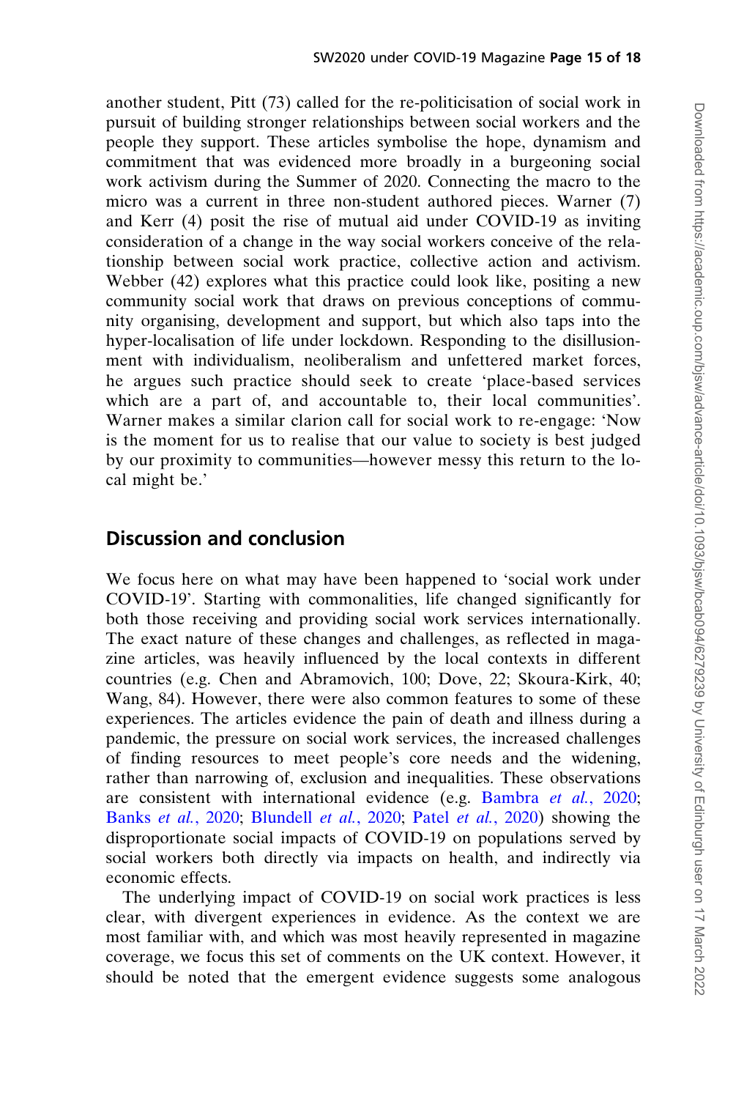another student, Pitt (73) called for the re-politicisation of social work in pursuit of building stronger relationships between social workers and the people they support. These articles symbolise the hope, dynamism and commitment that was evidenced more broadly in a burgeoning social work activism during the Summer of 2020. Connecting the macro to the micro was a current in three non-student authored pieces. Warner (7) and Kerr (4) posit the rise of mutual aid under COVID-19 as inviting consideration of a change in the way social workers conceive of the relationship between social work practice, collective action and activism. Webber (42) explores what this practice could look like, positing a new community social work that draws on previous conceptions of community organising, development and support, but which also taps into the hyper-localisation of life under lockdown. Responding to the disillusionment with individualism, neoliberalism and unfettered market forces, he argues such practice should seek to create 'place-based services which are a part of, and accountable to, their local communities'. Warner makes a similar clarion call for social work to re-engage: 'Now is the moment for us to realise that our value to society is best judged by our proximity to communities—however messy this return to the local might be.'

#### Discussion and conclusion

We focus here on what may have been happened to 'social work under COVID-19'. Starting with commonalities, life changed significantly for both those receiving and providing social work services internationally. The exact nature of these changes and challenges, as reflected in magazine articles, was heavily influenced by the local contexts in different countries (e.g. Chen and Abramovich, 100; Dove, 22; Skoura-Kirk, 40; Wang, 84). However, there were also common features to some of these experiences. The articles evidence the pain of death and illness during a pandemic, the pressure on social work services, the increased challenges of finding resources to meet people's core needs and the widening, rather than narrowing of, exclusion and inequalities. These observations are consistent with international evidence (e.g. [Bambra](#page-17-0) et al., 2020; Banks et al.[, 2020;](#page-17-0) [Blundell](#page-17-0) et al., 2020; Patel et al.[, 2020\)](#page-18-0) showing the disproportionate social impacts of COVID-19 on populations served by social workers both directly via impacts on health, and indirectly via economic effects.

The underlying impact of COVID-19 on social work practices is less clear, with divergent experiences in evidence. As the context we are most familiar with, and which was most heavily represented in magazine coverage, we focus this set of comments on the UK context. However, it should be noted that the emergent evidence suggests some analogous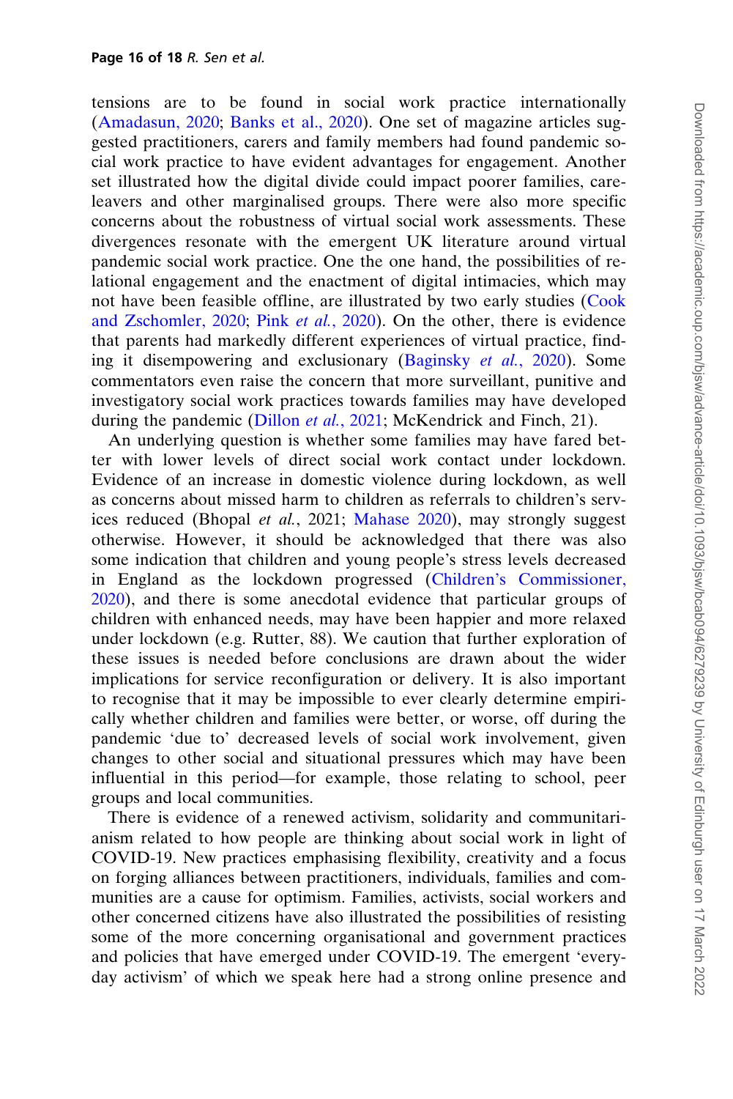tensions are to be found in social work practice internationally [\(Amadasun, 2020;](#page-17-0) [Banks et al., 2020\)](#page-17-0). One set of magazine articles suggested practitioners, carers and family members had found pandemic social work practice to have evident advantages for engagement. Another set illustrated how the digital divide could impact poorer families, careleavers and other marginalised groups. There were also more specific concerns about the robustness of virtual social work assessments. These divergences resonate with the emergent UK literature around virtual pandemic social work practice. One the one hand, the possibilities of relational engagement and the enactment of digital intimacies, which may not have been feasible offline, are illustrated by two early studies [\(Cook](#page-18-0) [and Zschomler, 2020](#page-18-0); Pink et al.[, 2020\)](#page-18-0). On the other, there is evidence that parents had markedly different experiences of virtual practice, finding it disempowering and exclusionary [\(Baginsky](#page-17-0) et al., 2020). Some commentators even raise the concern that more surveillant, punitive and investigatory social work practices towards families may have developed during the pandemic [\(Dillon](#page-18-0) *et al.*, 2021; McKendrick and Finch, 21).

An underlying question is whether some families may have fared better with lower levels of direct social work contact under lockdown. Evidence of an increase in domestic violence during lockdown, as well as concerns about missed harm to children as referrals to children's services reduced (Bhopal et al., 2021; [Mahase 2020](#page-18-0)), may strongly suggest otherwise. However, it should be acknowledged that there was also some indication that children and young people's stress levels decreased in England as the lockdown progressed ([Children's Commissioner,](#page-17-0) [2020](#page-17-0)), and there is some anecdotal evidence that particular groups of children with enhanced needs, may have been happier and more relaxed under lockdown (e.g. Rutter, 88). We caution that further exploration of these issues is needed before conclusions are drawn about the wider implications for service reconfiguration or delivery. It is also important to recognise that it may be impossible to ever clearly determine empirically whether children and families were better, or worse, off during the pandemic 'due to' decreased levels of social work involvement, given changes to other social and situational pressures which may have been influential in this period—for example, those relating to school, peer groups and local communities.

There is evidence of a renewed activism, solidarity and communitarianism related to how people are thinking about social work in light of COVID-19. New practices emphasising flexibility, creativity and a focus on forging alliances between practitioners, individuals, families and communities are a cause for optimism. Families, activists, social workers and other concerned citizens have also illustrated the possibilities of resisting some of the more concerning organisational and government practices and policies that have emerged under COVID-19. The emergent 'everyday activism' of which we speak here had a strong online presence and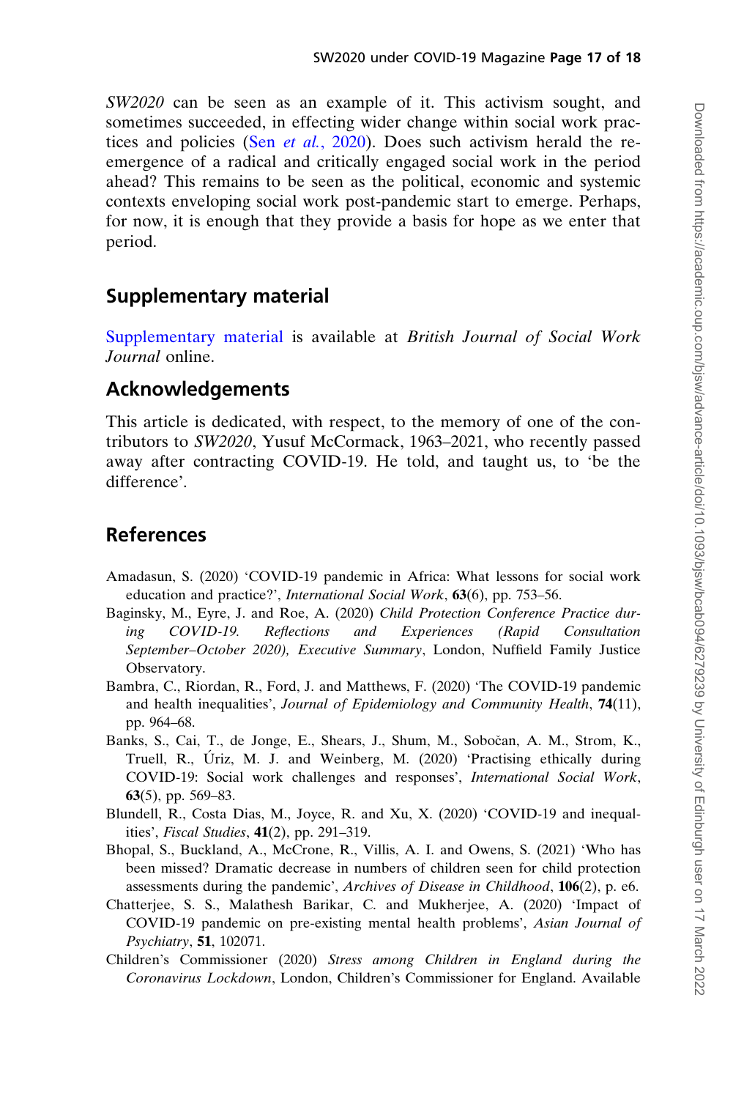<span id="page-17-0"></span>SW2020 can be seen as an example of it. This activism sought, and sometimes succeeded, in effecting wider change within social work practices and policies (Sen *et al.*[, 2020\)](#page-18-0). Does such activism herald the reemergence of a radical and critically engaged social work in the period ahead? This remains to be seen as the political, economic and systemic contexts enveloping social work post-pandemic start to emerge. Perhaps, for now, it is enough that they provide a basis for hope as we enter that period.

## Supplementary material

[Supplementary material](https://academic.oup.com/bjsw/article-lookup/doi/10.1093/bjsw/bcab094#supplementary-data) is available at British Journal of Social Work Journal online.

## Acknowledgements

This article is dedicated, with respect, to the memory of one of the contributors to SW2020, Yusuf McCormack, 1963–2021, who recently passed away after contracting COVID-19. He told, and taught us, to 'be the difference'.

# References

- Amadasun, S. (2020) 'COVID-19 pandemic in Africa: What lessons for social work education and practice?', International Social Work, 63(6), pp. 753–56.
- Baginsky, M., Eyre, J. and Roe, A. (2020) Child Protection Conference Practice during COVID-19. Reflections and Experiences (Rapid Consultation September–October 2020), Executive Summary, London, Nuffield Family Justice Observatory.
- Bambra, C., Riordan, R., Ford, J. and Matthews, F. (2020) 'The COVID-19 pandemic and health inequalities', Journal of Epidemiology and Community Health, 74(11), pp. 964–68.
- Banks, S., Cai, T., de Jonge, E., Shears, J., Shum, M., Sobočan, A. M., Strom, K., Truell, R., Úriz, M. J. and Weinberg, M. (2020) 'Practising ethically during COVID-19: Social work challenges and responses', International Social Work, 63(5), pp. 569–83.
- Blundell, R., Costa Dias, M., Joyce, R. and Xu, X. (2020) 'COVID-19 and inequalities', Fiscal Studies, 41(2), pp. 291–319.
- Bhopal, S., Buckland, A., McCrone, R., Villis, A. I. and Owens, S. (2021) 'Who has been missed? Dramatic decrease in numbers of children seen for child protection assessments during the pandemic', Archives of Disease in Childhood, 106(2), p. e6.
- Chatterjee, S. S., Malathesh Barikar, C. and Mukherjee, A. (2020) 'Impact of COVID-19 pandemic on pre-existing mental health problems', Asian Journal of Psychiatry, 51, 102071.
- Children's Commissioner (2020) Stress among Children in England during the Coronavirus Lockdown, London, Children's Commissioner for England. Available